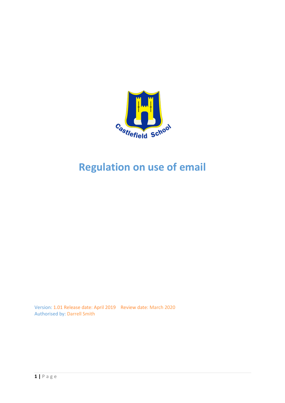

# **Regulation on use of email**

Version: 1.01 Release date: April 2019 Review date: March 2020 Authorised by: Darrell Smith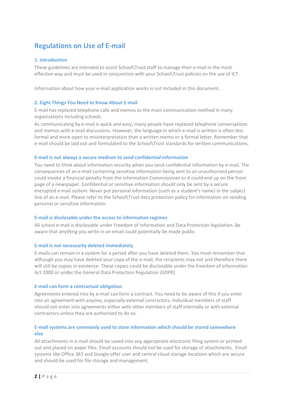# **Regulations on Use of E-mail**

#### **1. Introduction**

These guidelines are intended to assist School\Trust staff to manage their e-mail in the most effective way and must be used in conjunction with your School\Trust policies on the use of ICT.

Information about how your e-mail application works is not included in this document.

#### **2. Eight Things You Need to Know About E-mail**

E-mail has replaced telephone calls and memos as the main communication method in many organisations including schools.

As communicating by e-mail is quick and easy, many people have replaced telephone conversations and memos with e-mail discussions. However, the language in which e-mail is written is often less formal and more open to misinterpretation than a written memo or a formal letter. Remember that e-mail should be laid out and formulated to the School\Trust standards for written communications.

#### **E-mail is not always a secure medium to send confidential information**

You need to think about information security when you send confidential information by e-mail. The consequences of an e-mail containing sensitive information being sent to an unauthorised person could invoke a financial penalty from the Information Commissioner or it could end up on the front page of a newspaper. Confidential or sensitive information should only be sent by a secure encrypted e-mail system. Never put personal information (such as a student's name) in the subject line of an e-mail. Please refer to the School\Trust data protection policy for information on sending personal or sensitive information.

#### **E-mail is disclosable under the access to information regimes**

All school e-mail is disclosable under Freedom of Information and Data Protection legislation. Be aware that anything you write in an email could potentially be made public.

#### **E-mail is not necessarily deleted immediately**

E-mails can remain in a system for a period after you have deleted them. You must remember that although you may have deleted your copy of the e-mail, the recipients may not and therefore there will still be copies in existence. These copies could be disclosable under the Freedom of Information Act 2000 or under the General Data Protection Regulation (GDPR).

## **E-mail can form a contractual obligation**

Agreements entered into by e-mail can form a contract. You need to be aware of this if you enter into an agreement with anyone, especially external contractors. Individual members of staff should not enter into agreements either with other members of staff internally or with external contractors unless they are authorised to do so.

## **E-mail systems are commonly used to store information which should be stored somewhere else**

All attachments in e-mail should be saved into any appropriate electronic filing system or printed out and placed on paper files. Email accounts should not be used for storage of attachments. Email systems like Office 365 and Google offer user and central cloud storage locations which are secure and should be used for file storage and management.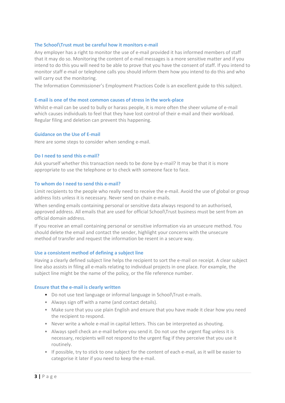#### **The School\Trust must be careful how it monitors e-mail**

Any employer has a right to monitor the use of e-mail provided it has informed members of staff that it may do so. Monitoring the content of e-mail messages is a more sensitive matter and if you intend to do this you will need to be able to prove that you have the consent of staff. If you intend to monitor staff e-mail or telephone calls you should inform them how you intend to do this and who will carry out the monitoring.

The Information Commissioner's Employment Practices Code is an excellent guide to this subject.

#### **E-mail is one of the most common causes of stress in the work-place**

Whilst e-mail can be used to bully or harass people, it is more often the sheer volume of e-mail which causes individuals to feel that they have lost control of their e-mail and their workload. Regular filing and deletion can prevent this happening.

#### **Guidance on the Use of E-mail**

Here are some steps to consider when sending e-mail.

#### **Do I need to send this e-mail?**

Ask yourself whether this transaction needs to be done by e-mail? It may be that it is more appropriate to use the telephone or to check with someone face to face.

#### **To whom do I need to send this e-mail?**

Limit recipients to the people who really need to receive the e-mail. Avoid the use of global or group address lists unless it is necessary. Never send on chain e-mails.

When sending emails containing personal or sensitive data always respond to an authorised, approved address. All emails that are used for official School\Trust business must be sent from an official domain address.

If you receive an email containing personal or sensitive information via an unsecure method. You should delete the email and contact the sender, highlight your concerns with the unsecure method of transfer and request the information be resent in a secure way.

#### **Use a consistent method of defining a subject line**

Having a clearly defined subject line helps the recipient to sort the e-mail on receipt. A clear subject line also assists in filing all e-mails relating to individual projects in one place. For example, the subject line might be the name of the policy, or the file reference number.

#### **Ensure that the e-mail is clearly written**

- Do not use text language or informal language in School\Trust e-mails.
- Always sign off with a name (and contact details).
- Make sure that you use plain English and ensure that you have made it clear how you need the recipient to respond.
- Never write a whole e-mail in capital letters. This can be interpreted as shouting.
- Always spell check an e-mail before you send it. Do not use the urgent flag unless it is necessary, recipients will not respond to the urgent flag if they perceive that you use it routinely.
- If possible, try to stick to one subject for the content of each e-mail, as it will be easier to categorise it later if you need to keep the e-mail.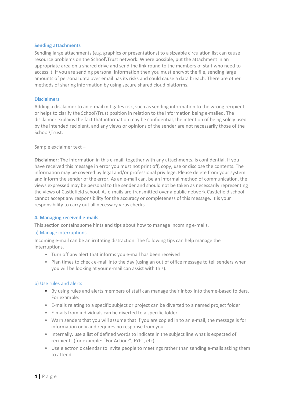#### **Sending attachments**

Sending large attachments (e.g. graphics or presentations) to a sizeable circulation list can cause resource problems on the School\Trust network. Where possible, put the attachment in an appropriate area on a shared drive and send the link round to the members of staff who need to access it. If you are sending personal information then you must encrypt the file, sending large amounts of personal data over email has its risks and could cause a data breach. There are other methods of sharing information by using secure shared cloud platforms.

#### **Disclaimers**

Adding a disclaimer to an e-mail mitigates risk, such as sending information to the wrong recipient, or helps to clarify the School\Trust position in relation to the information being e-mailed. The disclaimer explains the fact that information may be confidential, the intention of being solely used by the intended recipient, and any views or opinions of the sender are not necessarily those of the School\Trust.

Sample exclaimer text –

**Disclaimer:** The information in this e-mail, together with any attachments, is confidential. If you have received this message in error you must not print off, copy, use or disclose the contents. The information may be covered by legal and/or professional privilege. Please delete from your system and inform the sender of the error. As an e-mail can, be an informal method of communication, the views expressed may be personal to the sender and should not be taken as necessarily representing the views of Castlefield school. As e-mails are transmitted over a public network Castlefield school cannot accept any responsibility for the accuracy or completeness of this message. It is your responsibility to carry out all necessary virus checks.

#### **4. Managing received e-mails**

This section contains some hints and tips about how to manage incoming e-mails.

#### a) Manage interruptions

Incoming e-mail can be an irritating distraction. The following tips can help manage the interruptions.

- Turn off any alert that informs you e-mail has been received
- Plan times to check e-mail into the day (using an out of office message to tell senders when you will be looking at your e-mail can assist with this).

## b) Use rules and alerts

- By using rules and alerts members of staff can manage their inbox into theme-based folders. For example:
- E-mails relating to a specific subject or project can be diverted to a named project folder
- E-mails from individuals can be diverted to a specific folder
- Warn senders that you will assume that if you are copied in to an e-mail, the message is for information only and requires no response from you.
- Internally, use a list of defined words to indicate in the subject line what is expected of recipients (for example: "For Action:", FYI:", etc)
- Use electronic calendar to invite people to meetings rather than sending e-mails asking them to attend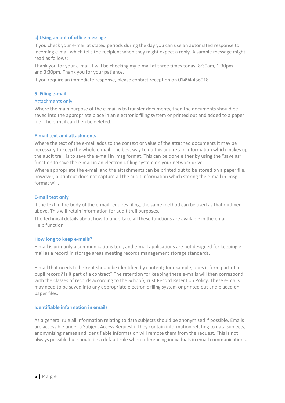#### **c) Using an out of office message**

If you check your e-mail at stated periods during the day you can use an automated response to incoming e-mail which tells the recipient when they might expect a reply. A sample message might read as follows:

Thank you for your e-mail. I will be checking my e-mail at three times today, 8:30am, 1:30pm and 3:30pm. Thank you for your patience.

If you require an immediate response, please contact reception on 01494 436018

#### **5. Filing e-mail**

#### Attachments only

Where the main purpose of the e-mail is to transfer documents, then the documents should be saved into the appropriate place in an electronic filing system or printed out and added to a paper file. The e-mail can then be deleted.

#### **E-mail text and attachments**

Where the text of the e-mail adds to the context or value of the attached documents it may be necessary to keep the whole e-mail. The best way to do this and retain information which makes up the audit trail, is to save the e-mail in .msg format. This can be done either by using the "save as" function to save the e-mail in an electronic filing system on your network drive.

Where appropriate the e-mail and the attachments can be printed out to be stored on a paper file, however, a printout does not capture all the audit information which storing the e-mail in .msg format will.

#### **E-mail text only**

If the text in the body of the e-mail requires filing, the same method can be used as that outlined above. This will retain information for audit trail purposes.

The technical details about how to undertake all these functions are available in the email Help function.

## **How long to keep e-mails?**

E-mail is primarily a communications tool, and e-mail applications are not designed for keeping email as a record in storage areas meeting records management storage standards.

E-mail that needs to be kept should be identified by content; for example, does it form part of a pupil record? Is it part of a contract? The retention for keeping these e-mails will then correspond with the classes of records according to the School\Trust Record Retention Policy. These e-mails may need to be saved into any appropriate electronic filing system or printed out and placed on paper files.

#### **Identifiable information in emails**

As a general rule all information relating to data subjects should be anonymised if possible. Emails are accessible under a Subject Access Request if they contain information relating to data subjects, anonymising names and identifiable information will remote them from the request. This is not always possible but should be a default rule when referencing individuals in email communications.